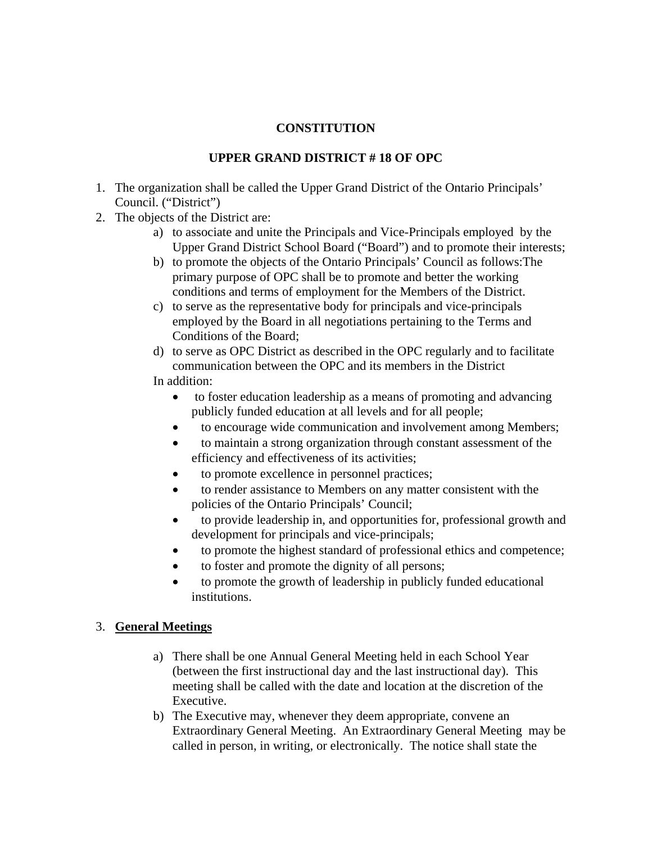## **CONSTITUTION**

### **UPPER GRAND DISTRICT # 18 OF OPC**

- 1. The organization shall be called the Upper Grand District of the Ontario Principals' Council. ("District")
- 2. The objects of the District are:
	- a) to associate and unite the Principals and Vice-Principals employed by the Upper Grand District School Board ("Board") and to promote their interests;
	- b) to promote the objects of the Ontario Principals' Council as follows:The primary purpose of OPC shall be to promote and better the working conditions and terms of employment for the Members of the District.
	- c) to serve as the representative body for principals and vice-principals employed by the Board in all negotiations pertaining to the Terms and Conditions of the Board;
	- d) to serve as OPC District as described in the OPC regularly and to facilitate communication between the OPC and its members in the District In addition:
		- to foster education leadership as a means of promoting and advancing publicly funded education at all levels and for all people;
		- to encourage wide communication and involvement among Members;
		- to maintain a strong organization through constant assessment of the efficiency and effectiveness of its activities;
		- to promote excellence in personnel practices;
		- to render assistance to Members on any matter consistent with the policies of the Ontario Principals' Council;
		- to provide leadership in, and opportunities for, professional growth and development for principals and vice-principals;
		- to promote the highest standard of professional ethics and competence;
		- to foster and promote the dignity of all persons;
		- to promote the growth of leadership in publicly funded educational institutions.

#### 3. **General Meetings**

- a) There shall be one Annual General Meeting held in each School Year (between the first instructional day and the last instructional day). This meeting shall be called with the date and location at the discretion of the Executive.
- b) The Executive may, whenever they deem appropriate, convene an Extraordinary General Meeting. An Extraordinary General Meeting may be called in person, in writing, or electronically. The notice shall state the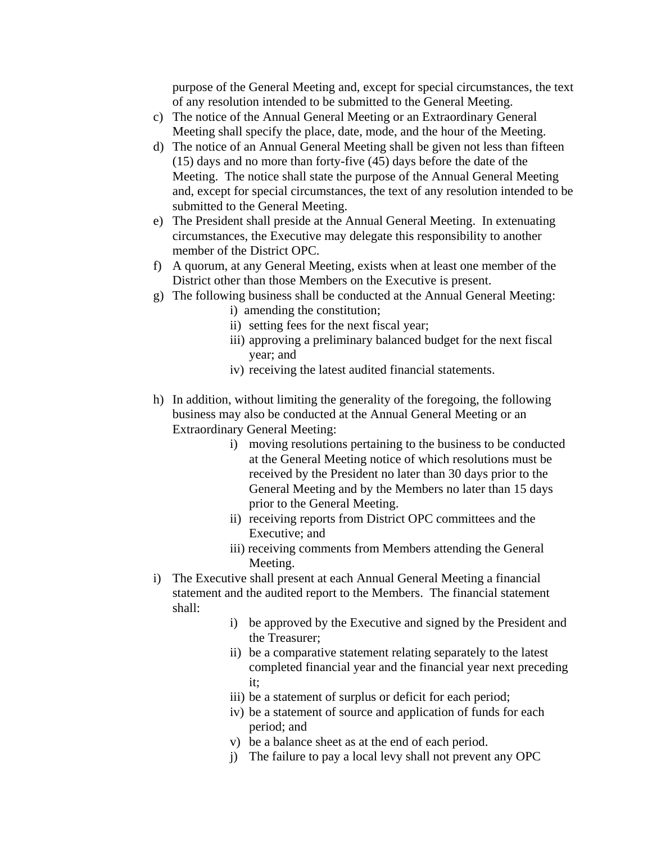purpose of the General Meeting and, except for special circumstances, the text of any resolution intended to be submitted to the General Meeting.

- c) The notice of the Annual General Meeting or an Extraordinary General Meeting shall specify the place, date, mode, and the hour of the Meeting.
- d) The notice of an Annual General Meeting shall be given not less than fifteen (15) days and no more than forty-five (45) days before the date of the Meeting. The notice shall state the purpose of the Annual General Meeting and, except for special circumstances, the text of any resolution intended to be submitted to the General Meeting.
- e) The President shall preside at the Annual General Meeting. In extenuating circumstances, the Executive may delegate this responsibility to another member of the District OPC.
- f) A quorum, at any General Meeting, exists when at least one member of the District other than those Members on the Executive is present.
- g) The following business shall be conducted at the Annual General Meeting:
	- i) amending the constitution;
	- ii) setting fees for the next fiscal year;
	- iii) approving a preliminary balanced budget for the next fiscal year; and
	- iv) receiving the latest audited financial statements.
- h) In addition, without limiting the generality of the foregoing, the following business may also be conducted at the Annual General Meeting or an Extraordinary General Meeting:
	- i) moving resolutions pertaining to the business to be conducted at the General Meeting notice of which resolutions must be received by the President no later than 30 days prior to the General Meeting and by the Members no later than 15 days prior to the General Meeting.
	- ii) receiving reports from District OPC committees and the Executive; and
	- iii) receiving comments from Members attending the General Meeting.
- i) The Executive shall present at each Annual General Meeting a financial statement and the audited report to the Members. The financial statement shall:
	- i) be approved by the Executive and signed by the President and the Treasurer;
	- ii) be a comparative statement relating separately to the latest completed financial year and the financial year next preceding it;
	- iii) be a statement of surplus or deficit for each period;
	- iv) be a statement of source and application of funds for each period; and
	- v) be a balance sheet as at the end of each period.
	- j) The failure to pay a local levy shall not prevent any OPC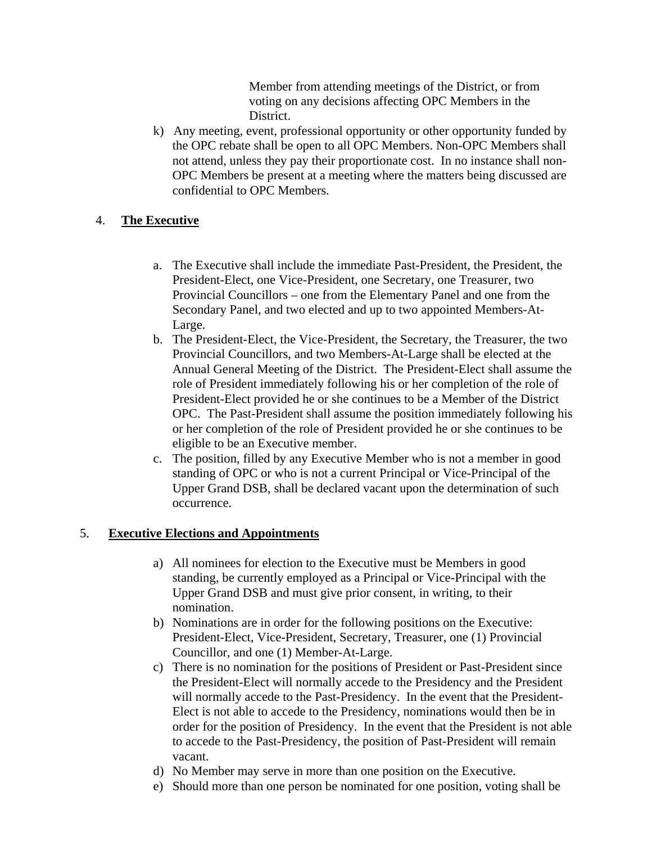Member from attending meetings of the District, or from voting on any decisions affecting OPC Members in the District.

k) Any meeting, event, professional opportunity or other opportunity funded by the OPC rebate shall be open to all OPC Members. Non-OPC Members shall not attend, unless they pay their proportionate cost. In no instance shall non-OPC Members be present at a meeting where the matters being discussed are confidential to OPC Members.

#### 4. **The Executive**

- a. The Executive shall include the immediate Past-President, the President, the President-Elect, one Vice-President, one Secretary, one Treasurer, two Provincial Councillors – one from the Elementary Panel and one from the Secondary Panel, and two elected and up to two appointed Members-At-Large.
- b. The President-Elect, the Vice-President, the Secretary, the Treasurer, the two Provincial Councillors, and two Members-At-Large shall be elected at the Annual General Meeting of the District. The President-Elect shall assume the role of President immediately following his or her completion of the role of President-Elect provided he or she continues to be a Member of the District OPC. The Past-President shall assume the position immediately following his or her completion of the role of President provided he or she continues to be eligible to be an Executive member.
- c. The position, filled by any Executive Member who is not a member in good standing of OPC or who is not a current Principal or Vice-Principal of the Upper Grand DSB, shall be declared vacant upon the determination of such occurrence.

#### 5. **Executive Elections and Appointments**

- a) All nominees for election to the Executive must be Members in good standing, be currently employed as a Principal or Vice-Principal with the Upper Grand DSB and must give prior consent, in writing, to their nomination.
- b) Nominations are in order for the following positions on the Executive: President-Elect, Vice-President, Secretary, Treasurer, one (1) Provincial Councillor, and one (1) Member-At-Large.
- c) There is no nomination for the positions of President or Past-President since the President-Elect will normally accede to the Presidency and the President will normally accede to the Past-Presidency. In the event that the President-Elect is not able to accede to the Presidency, nominations would then be in order for the position of Presidency. In the event that the President is not able to accede to the Past-Presidency, the position of Past-President will remain vacant.
- d) No Member may serve in more than one position on the Executive.
- e) Should more than one person be nominated for one position, voting shall be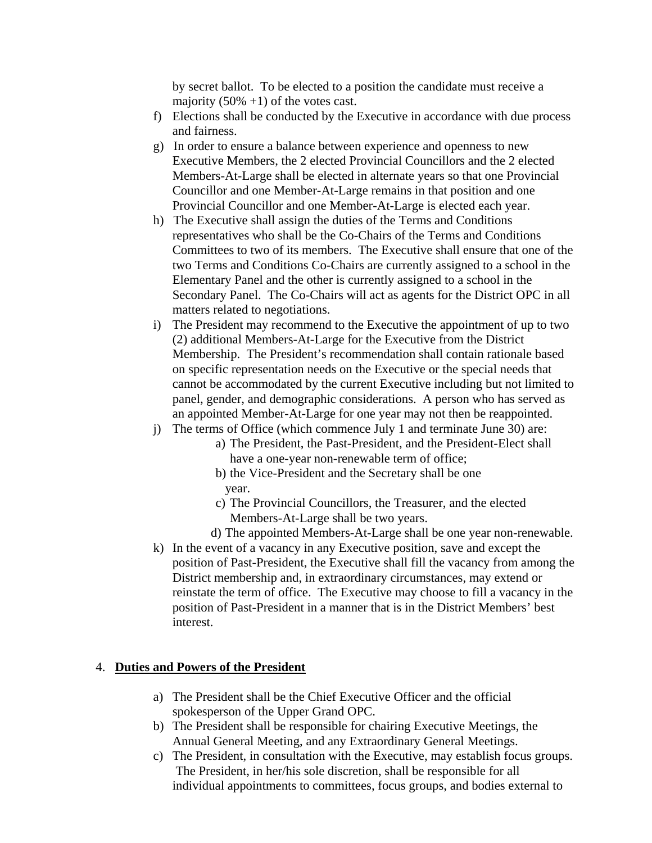by secret ballot. To be elected to a position the candidate must receive a majority  $(50\% +1)$  of the votes cast.

- f) Elections shall be conducted by the Executive in accordance with due process and fairness.
- g) In order to ensure a balance between experience and openness to new Executive Members, the 2 elected Provincial Councillors and the 2 elected Members-At-Large shall be elected in alternate years so that one Provincial Councillor and one Member-At-Large remains in that position and one Provincial Councillor and one Member-At-Large is elected each year.
- h) The Executive shall assign the duties of the Terms and Conditions representatives who shall be the Co-Chairs of the Terms and Conditions Committees to two of its members. The Executive shall ensure that one of the two Terms and Conditions Co-Chairs are currently assigned to a school in the Elementary Panel and the other is currently assigned to a school in the Secondary Panel. The Co-Chairs will act as agents for the District OPC in all matters related to negotiations.
- i) The President may recommend to the Executive the appointment of up to two (2) additional Members-At-Large for the Executive from the District Membership. The President's recommendation shall contain rationale based on specific representation needs on the Executive or the special needs that cannot be accommodated by the current Executive including but not limited to panel, gender, and demographic considerations. A person who has served as an appointed Member-At-Large for one year may not then be reappointed.
- j) The terms of Office (which commence July 1 and terminate June 30) are:
	- a) The President, the Past-President, and the President-Elect shall have a one-year non-renewable term of office;
	- b) the Vice-President and the Secretary shall be one year.
	- c) The Provincial Councillors, the Treasurer, and the elected Members-At-Large shall be two years.
	- d) The appointed Members-At-Large shall be one year non-renewable.
- k) In the event of a vacancy in any Executive position, save and except the position of Past-President, the Executive shall fill the vacancy from among the District membership and, in extraordinary circumstances, may extend or reinstate the term of office. The Executive may choose to fill a vacancy in the position of Past-President in a manner that is in the District Members' best interest.

#### 4. **Duties and Powers of the President**

- a) The President shall be the Chief Executive Officer and the official spokesperson of the Upper Grand OPC.
- b) The President shall be responsible for chairing Executive Meetings, the Annual General Meeting, and any Extraordinary General Meetings.
- c) The President, in consultation with the Executive, may establish focus groups. The President, in her/his sole discretion, shall be responsible for all individual appointments to committees, focus groups, and bodies external to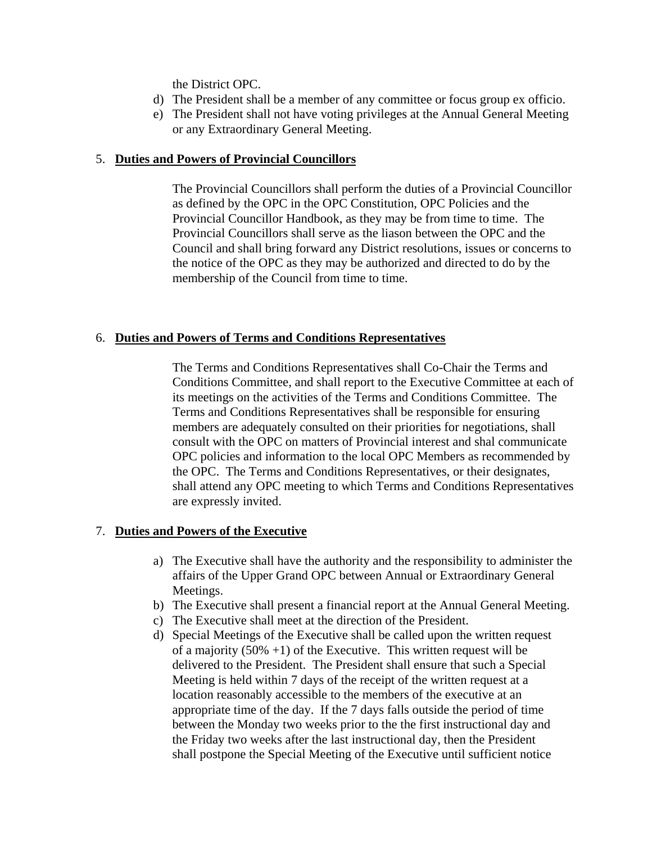the District OPC.

- d) The President shall be a member of any committee or focus group ex officio.
- e) The President shall not have voting privileges at the Annual General Meeting or any Extraordinary General Meeting.

#### 5. **Duties and Powers of Provincial Councillors**

 The Provincial Councillors shall perform the duties of a Provincial Councillor as defined by the OPC in the OPC Constitution, OPC Policies and the Provincial Councillor Handbook, as they may be from time to time. The Provincial Councillors shall serve as the liason between the OPC and the Council and shall bring forward any District resolutions, issues or concerns to the notice of the OPC as they may be authorized and directed to do by the membership of the Council from time to time.

#### 6. **Duties and Powers of Terms and Conditions Representatives**

The Terms and Conditions Representatives shall Co-Chair the Terms and Conditions Committee, and shall report to the Executive Committee at each of its meetings on the activities of the Terms and Conditions Committee. The Terms and Conditions Representatives shall be responsible for ensuring members are adequately consulted on their priorities for negotiations, shall consult with the OPC on matters of Provincial interest and shal communicate OPC policies and information to the local OPC Members as recommended by the OPC. The Terms and Conditions Representatives, or their designates, shall attend any OPC meeting to which Terms and Conditions Representatives are expressly invited.

#### 7. **Duties and Powers of the Executive**

- a) The Executive shall have the authority and the responsibility to administer the affairs of the Upper Grand OPC between Annual or Extraordinary General Meetings.
- b) The Executive shall present a financial report at the Annual General Meeting.
- c) The Executive shall meet at the direction of the President.
- d) Special Meetings of the Executive shall be called upon the written request of a majority  $(50\% +1)$  of the Executive. This written request will be delivered to the President. The President shall ensure that such a Special Meeting is held within 7 days of the receipt of the written request at a location reasonably accessible to the members of the executive at an appropriate time of the day. If the 7 days falls outside the period of time between the Monday two weeks prior to the the first instructional day and the Friday two weeks after the last instructional day, then the President shall postpone the Special Meeting of the Executive until sufficient notice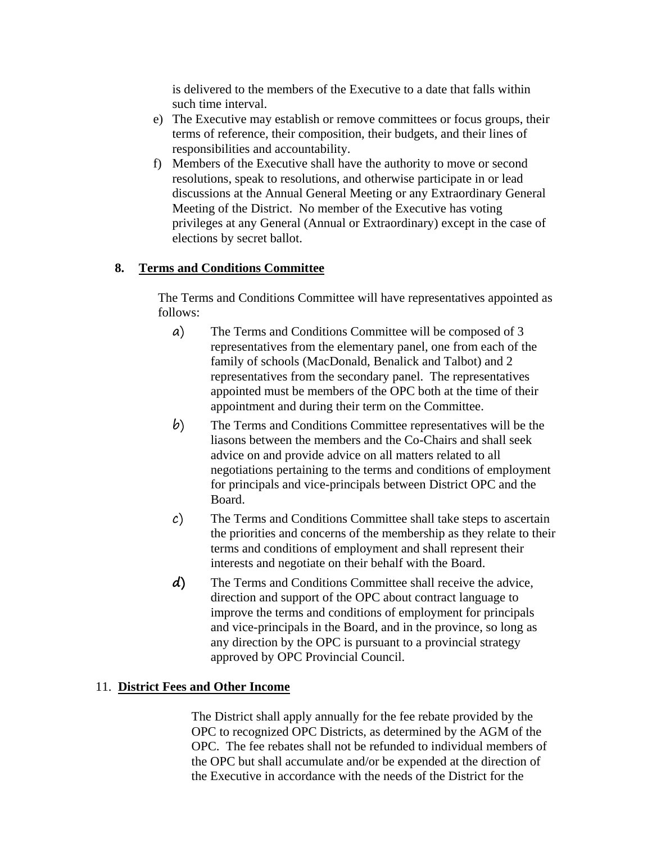is delivered to the members of the Executive to a date that falls within such time interval.

- e) The Executive may establish or remove committees or focus groups, their terms of reference, their composition, their budgets, and their lines of responsibilities and accountability.
- f) Members of the Executive shall have the authority to move or second resolutions, speak to resolutions, and otherwise participate in or lead discussions at the Annual General Meeting or any Extraordinary General Meeting of the District. No member of the Executive has voting privileges at any General (Annual or Extraordinary) except in the case of elections by secret ballot.

# **8. Terms and Conditions Committee**

The Terms and Conditions Committee will have representatives appointed as follows:

- a) The Terms and Conditions Committee will be composed of 3 representatives from the elementary panel, one from each of the family of schools (MacDonald, Benalick and Talbot) and 2 representatives from the secondary panel. The representatives appointed must be members of the OPC both at the time of their appointment and during their term on the Committee.
- b) The Terms and Conditions Committee representatives will be the liasons between the members and the Co-Chairs and shall seek advice on and provide advice on all matters related to all negotiations pertaining to the terms and conditions of employment for principals and vice-principals between District OPC and the Board.
- c) The Terms and Conditions Committee shall take steps to ascertain the priorities and concerns of the membership as they relate to their terms and conditions of employment and shall represent their interests and negotiate on their behalf with the Board.
- **d)** The Terms and Conditions Committee shall receive the advice, direction and support of the OPC about contract language to improve the terms and conditions of employment for principals and vice-principals in the Board, and in the province, so long as any direction by the OPC is pursuant to a provincial strategy approved by OPC Provincial Council.

# 11. **District Fees and Other Income**

The District shall apply annually for the fee rebate provided by the OPC to recognized OPC Districts, as determined by the AGM of the OPC. The fee rebates shall not be refunded to individual members of the OPC but shall accumulate and/or be expended at the direction of the Executive in accordance with the needs of the District for the